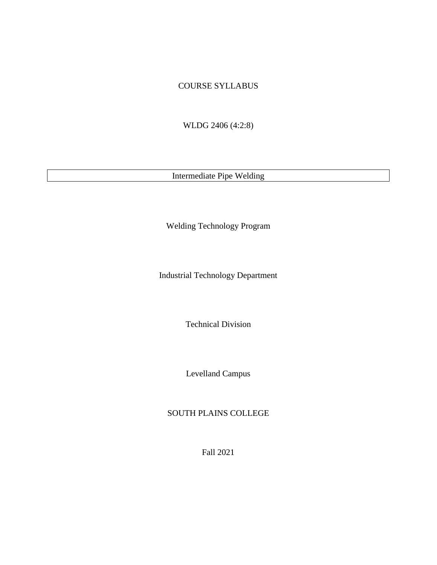### COURSE SYLLABUS

WLDG 2406 (4:2:8)

Intermediate Pipe Welding

Welding Technology Program

Industrial Technology Department

Technical Division

Levelland Campus

# SOUTH PLAINS COLLEGE

Fall 2021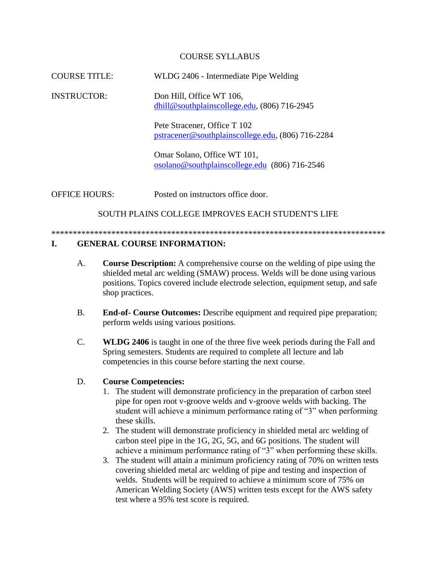#### COURSE SYLLABUS

COURSE TITLE: WLDG 2406 - Intermediate Pipe Welding

INSTRUCTOR: Don Hill, Office WT 106, [dhill@southplainscollege.edu,](mailto:dhill@southplainscollege.edu) (806) 716-2945

> Pete Stracener, Office T 102 [pstracener@southplainscollege.edu,](mailto:pstracener@southplainscollege.edu) (806) 716-2284

Omar Solano, Office WT 101, [osolano@southplainscollege.edu](mailto:osolano@southplainscollege.edu) (806) 716-2546

OFFICE HOURS: Posted on instructors office door.

SOUTH PLAINS COLLEGE IMPROVES EACH STUDENT'S LIFE

#### \*\*\*\*\*\*\*\*\*\*\*\*\*\*\*\*\*\*\*\*\*\*\*\*\*\*\*\*\*\*\*\*\*\*\*\*\*\*\*\*\*\*\*\*\*\*\*\*\*\*\*\*\*\*\*\*\*\*\*\*\*\*\*\*\*\*\*\*\*\*\*\*\*\*\*\*\*\*

## **I. GENERAL COURSE INFORMATION:**

- A. **Course Description:** A comprehensive course on the welding of pipe using the shielded metal arc welding (SMAW) process. Welds will be done using various positions. Topics covered include electrode selection, equipment setup, and safe shop practices.
- B. **End-of- Course Outcomes:** Describe equipment and required pipe preparation; perform welds using various positions.
- C. **WLDG 2406** is taught in one of the three five week periods during the Fall and Spring semesters. Students are required to complete all lecture and lab competencies in this course before starting the next course.

#### D. **Course Competencies:**

- 1. The student will demonstrate proficiency in the preparation of carbon steel pipe for open root v-groove welds and v-groove welds with backing. The student will achieve a minimum performance rating of "3" when performing these skills.
- 2. The student will demonstrate proficiency in shielded metal arc welding of carbon steel pipe in the 1G, 2G, 5G, and 6G positions. The student will achieve a minimum performance rating of "3" when performing these skills.
- 3. The student will attain a minimum proficiency rating of 70% on written tests covering shielded metal arc welding of pipe and testing and inspection of welds. Students will be required to achieve a minimum score of 75% on American Welding Society (AWS) written tests except for the AWS safety test where a 95% test score is required.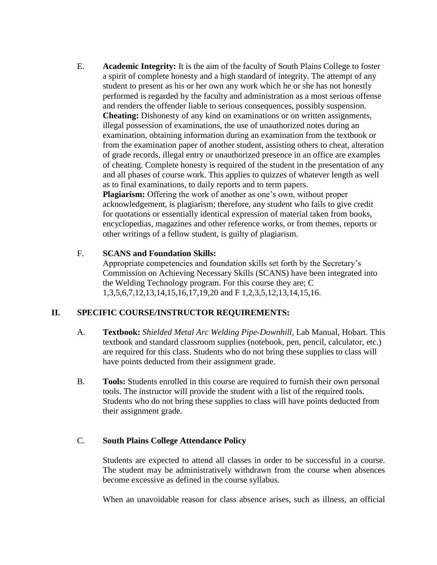E. **Academic Integrity:** It is the aim of the faculty of South Plains College to foster a spirit of complete honesty and a high standard of integrity. The attempt of any student to present as his or her own any work which he or she has not honestly performed is regarded by the faculty and administration as a most serious offense and renders the offender liable to serious consequences, possibly suspension. **Cheating:** Dishonesty of any kind on examinations or on written assignments, illegal possession of examinations, the use of unauthorized notes during an examination, obtaining information during an examination from the textbook or from the examination paper of another student, assisting others to cheat, alteration of grade records, illegal entry or unauthorized presence in an office are examples of cheating. Complete honesty is required of the student in the presentation of any and all phases of course work. This applies to quizzes of whatever length as well as to final examinations, to daily reports and to term papers. **Plagiarism:** Offering the work of another as one's own, without proper

acknowledgement, is plagiarism; therefore, any student who fails to give credit for quotations or essentially identical expression of material taken from books, encyclopedias, magazines and other reference works, or from themes, reports or other writings of a fellow student, is guilty of plagiarism.

#### F. **SCANS and Foundation Skills:**

Appropriate competencies and foundation skills set forth by the Secretary's Commission on Achieving Necessary Skills (SCANS) have been integrated into the Welding Technology program. For this course they are; C 1,3,5,6,7,12,13,14,15,16,17,19,20 and F 1,2,3,5,12,13,14,15,16.

## **II. SPECIFIC COURSE/INSTRUCTOR REQUIREMENTS:**

- A. **Textbook:** *Shielded Metal Arc Welding Pipe-Downhill*, Lab Manual, Hobart. This textbook and standard classroom supplies (notebook, pen, pencil, calculator, etc.) are required for this class. Students who do not bring these supplies to class will have points deducted from their assignment grade.
- B. **Tools:** Students enrolled in this course are required to furnish their own personal tools. The instructor will provide the student with a list of the required tools. Students who do not bring these supplies to class will have points deducted from their assignment grade.

### C. **South Plains College Attendance Policy**

Students are expected to attend all classes in order to be successful in a course. The student may be administratively withdrawn from the course when absences become excessive as defined in the course syllabus.

When an unavoidable reason for class absence arises, such as illness, an official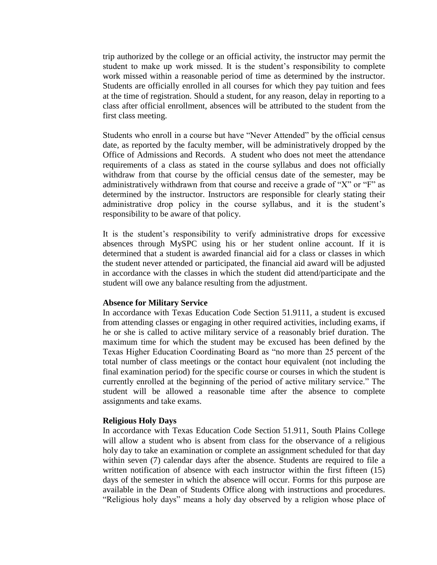trip authorized by the college or an official activity, the instructor may permit the student to make up work missed. It is the student's responsibility to complete work missed within a reasonable period of time as determined by the instructor. Students are officially enrolled in all courses for which they pay tuition and fees at the time of registration. Should a student, for any reason, delay in reporting to a class after official enrollment, absences will be attributed to the student from the first class meeting.

Students who enroll in a course but have "Never Attended" by the official census date, as reported by the faculty member, will be administratively dropped by the Office of Admissions and Records. A student who does not meet the attendance requirements of a class as stated in the course syllabus and does not officially withdraw from that course by the official census date of the semester, may be administratively withdrawn from that course and receive a grade of "X" or "F" as determined by the instructor. Instructors are responsible for clearly stating their administrative drop policy in the course syllabus, and it is the student's responsibility to be aware of that policy.

It is the student's responsibility to verify administrative drops for excessive absences through MySPC using his or her student online account. If it is determined that a student is awarded financial aid for a class or classes in which the student never attended or participated, the financial aid award will be adjusted in accordance with the classes in which the student did attend/participate and the student will owe any balance resulting from the adjustment.

#### **Absence for Military Service**

In accordance with Texas Education Code Section 51.9111, a student is excused from attending classes or engaging in other required activities, including exams, if he or she is called to active military service of a reasonably brief duration. The maximum time for which the student may be excused has been defined by the Texas Higher Education Coordinating Board as "no more than 25 percent of the total number of class meetings or the contact hour equivalent (not including the final examination period) for the specific course or courses in which the student is currently enrolled at the beginning of the period of active military service." The student will be allowed a reasonable time after the absence to complete assignments and take exams.

#### **Religious Holy Days**

In accordance with Texas Education Code Section 51.911, South Plains College will allow a student who is absent from class for the observance of a religious holy day to take an examination or complete an assignment scheduled for that day within seven (7) calendar days after the absence. Students are required to file a written notification of absence with each instructor within the first fifteen (15) days of the semester in which the absence will occur. Forms for this purpose are available in the Dean of Students Office along with instructions and procedures. "Religious holy days" means a holy day observed by a religion whose place of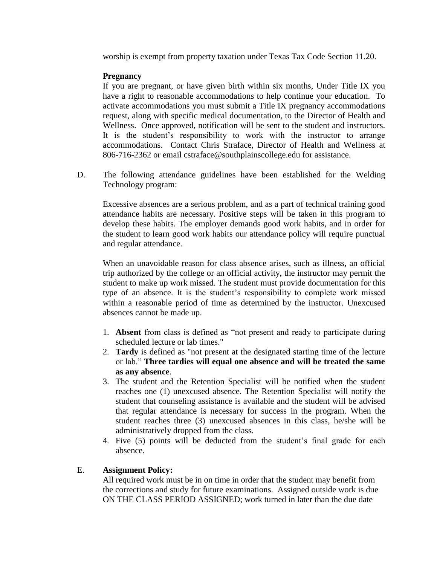worship is exempt from property taxation under Texas Tax Code Section 11.20.

## **Pregnancy**

If you are pregnant, or have given birth within six months, Under Title IX you have a right to reasonable accommodations to help continue your education. To activate accommodations you must submit a Title IX pregnancy accommodations request, along with specific medical documentation, to the Director of Health and Wellness. Once approved, notification will be sent to the student and instructors. It is the student's responsibility to work with the instructor to arrange accommodations. Contact Chris Straface, Director of Health and Wellness at 806-716-2362 or email cstraface@southplainscollege.edu for assistance.

D. The following attendance guidelines have been established for the Welding Technology program:

Excessive absences are a serious problem, and as a part of technical training good attendance habits are necessary. Positive steps will be taken in this program to develop these habits. The employer demands good work habits, and in order for the student to learn good work habits our attendance policy will require punctual and regular attendance.

When an unavoidable reason for class absence arises, such as illness, an official trip authorized by the college or an official activity, the instructor may permit the student to make up work missed. The student must provide documentation for this type of an absence. It is the student's responsibility to complete work missed within a reasonable period of time as determined by the instructor. Unexcused absences cannot be made up.

- 1. **Absent** from class is defined as "not present and ready to participate during scheduled lecture or lab times."
- 2. **Tardy** is defined as "not present at the designated starting time of the lecture or lab." **Three tardies will equal one absence and will be treated the same as any absence**.
- 3. The student and the Retention Specialist will be notified when the student reaches one (1) unexcused absence. The Retention Specialist will notify the student that counseling assistance is available and the student will be advised that regular attendance is necessary for success in the program. When the student reaches three (3) unexcused absences in this class, he/she will be administratively dropped from the class.
- 4. Five (5) points will be deducted from the student's final grade for each absence.

## E. **Assignment Policy:**

All required work must be in on time in order that the student may benefit from the corrections and study for future examinations. Assigned outside work is due ON THE CLASS PERIOD ASSIGNED; work turned in later than the due date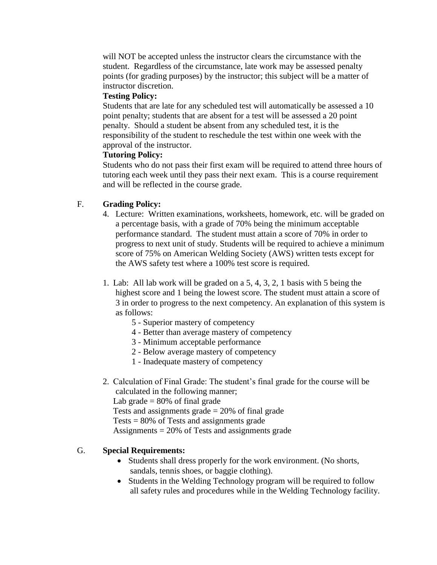will NOT be accepted unless the instructor clears the circumstance with the student. Regardless of the circumstance, late work may be assessed penalty points (for grading purposes) by the instructor; this subject will be a matter of instructor discretion.

### **Testing Policy:**

Students that are late for any scheduled test will automatically be assessed a 10 point penalty; students that are absent for a test will be assessed a 20 point penalty. Should a student be absent from any scheduled test, it is the responsibility of the student to reschedule the test within one week with the approval of the instructor.

## **Tutoring Policy:**

Students who do not pass their first exam will be required to attend three hours of tutoring each week until they pass their next exam. This is a course requirement and will be reflected in the course grade.

## F. **Grading Policy:**

- 4. Lecture: Written examinations, worksheets, homework, etc. will be graded on a percentage basis, with a grade of 70% being the minimum acceptable performance standard. The student must attain a score of 70% in order to progress to next unit of study. Students will be required to achieve a minimum score of 75% on American Welding Society (AWS) written tests except for the AWS safety test where a 100% test score is required.
- 1. Lab: All lab work will be graded on a 5, 4, 3, 2, 1 basis with 5 being the highest score and 1 being the lowest score. The student must attain a score of 3 in order to progress to the next competency. An explanation of this system is as follows:
	- 5 Superior mastery of competency
	- 4 Better than average mastery of competency
	- 3 Minimum acceptable performance
	- 2 Below average mastery of competency
	- 1 Inadequate mastery of competency
- 2. Calculation of Final Grade: The student's final grade for the course will be calculated in the following manner;

Lab grade  $= 80\%$  of final grade

Tests and assignments grade  $= 20\%$  of final grade

Tests  $= 80\%$  of Tests and assignments grade

Assignments = 20% of Tests and assignments grade

# G. **Special Requirements:**

- Students shall dress properly for the work environment. (No shorts, sandals, tennis shoes, or baggie clothing).
- Students in the Welding Technology program will be required to follow all safety rules and procedures while in the Welding Technology facility.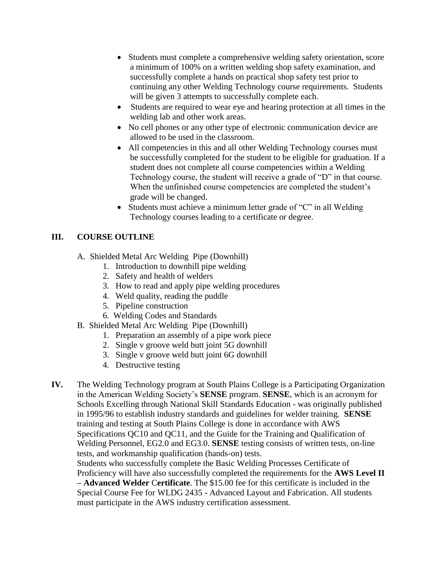- Students must complete a comprehensive welding safety orientation, score a minimum of 100% on a written welding shop safety examination, and successfully complete a hands on practical shop safety test prior to continuing any other Welding Technology course requirements. Students will be given 3 attempts to successfully complete each.
- Students are required to wear eye and hearing protection at all times in the welding lab and other work areas.
- No cell phones or any other type of electronic communication device are allowed to be used in the classroom.
- All competencies in this and all other Welding Technology courses must be successfully completed for the student to be eligible for graduation. If a student does not complete all course competencies within a Welding Technology course, the student will receive a grade of "D" in that course. When the unfinished course competencies are completed the student's grade will be changed.
- Students must achieve a minimum letter grade of "C" in all Welding Technology courses leading to a certificate or degree.

# **III. COURSE OUTLINE**

- A. Shielded Metal Arc Welding Pipe (Downhill)
	- 1. Introduction to downhill pipe welding
	- 2. Safety and health of welders
	- 3. How to read and apply pipe welding procedures
	- 4. Weld quality, reading the puddle
	- 5. Pipeline construction
	- 6. Welding Codes and Standards
- B. Shielded Metal Arc Welding Pipe (Downhill)
	- 1. Preparation an assembly of a pipe work piece
	- 2. Single v groove weld butt joint 5G downhill
	- 3. Single v groove weld butt joint 6G downhill
	- 4. Destructive testing
- **IV.** The Welding Technology program at South Plains College is a Participating Organization in the American Welding Society's **SENSE** program. **SENSE**, which is an acronym for Schools Excelling through National Skill Standards Education - was originally published in 1995/96 to establish industry standards and guidelines for welder training. **SENSE** training and testing at South Plains College is done in accordance with AWS Specifications QC10 and QC11, and the Guide for the Training and Qualification of Welding Personnel, EG2.0 and EG3.0. **SENSE** testing consists of written tests, on-line tests, and workmanship qualification (hands-on) tests. Students who successfully complete the Basic Welding Processes Certificate of Proficiency will have also successfully completed the requirements for the **AWS Level II – Advanced Welder** C**ertificate**. The \$15.00 fee for this certificate is included in the Special Course Fee for WLDG 2435 - Advanced Layout and Fabrication. All students must participate in the AWS industry certification assessment.